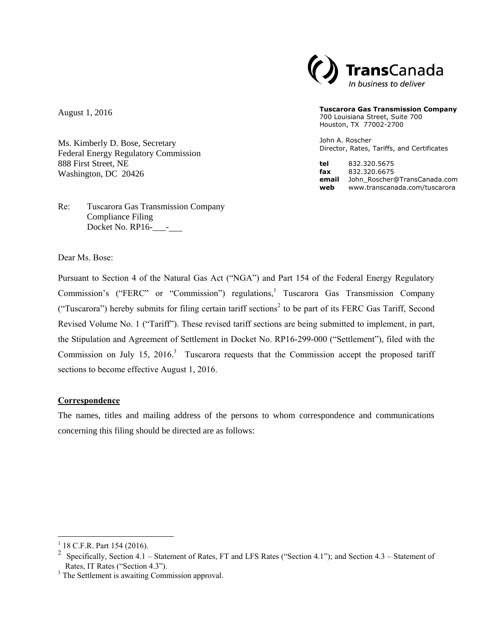

#### **Tuscarora Gas Transmission Company**

700 Louisiana Street, Suite 700 Houston, TX 77002-2700

John A. Roscher Director, Rates, Tariffs, and Certificates

**tel** 832.320.5675 **fax** 832.320.6675 **email** John\_Roscher@TransCanada.com **web** www.transcanada.com/tuscarora

August 1, 2016

Ms. Kimberly D. Bose, Secretary Federal Energy Regulatory Commission 888 First Street, NE Washington, DC 20426

Re: Tuscarora Gas Transmission Company Compliance Filing Docket No. RP16-\_\_\_- .

Dear Ms. Bose:

Pursuant to Section 4 of the Natural Gas Act ("NGA") and Part 154 of the Federal Energy Regulatory Commission's ("FERC" or "Commission") regulations,<sup>1</sup> Tuscarora Gas Transmission Company ("Tuscarora") hereby submits for filing certain tariff sections<sup>2</sup> to be part of its FERC Gas Tariff, Second Revised Volume No. 1 ("Tariff"). These revised tariff sections are being submitted to implement, in part, the Stipulation and Agreement of Settlement in Docket No. RP16-299-000 ("Settlement"), filed with the Commission on July 15, 2016.<sup>3</sup> Tuscarora requests that the Commission accept the proposed tariff sections to become effective August 1, 2016.

### **Correspondence**

The names, titles and mailing address of the persons to whom correspondence and communications concerning this filing should be directed are as follows:

 $\overline{a}$ 

<sup>&</sup>lt;sup>1</sup> 18 C.F.R. Part 154 (2016).

<sup>&</sup>lt;sup>2</sup> Specifically, Section 4.1 – Statement of Rates, FT and LFS Rates ("Section 4.1"); and Section 4.3 – Statement of Rates, IT Rates ("Section 4.3").

<sup>&</sup>lt;sup>3</sup> The Settlement is awaiting Commission approval.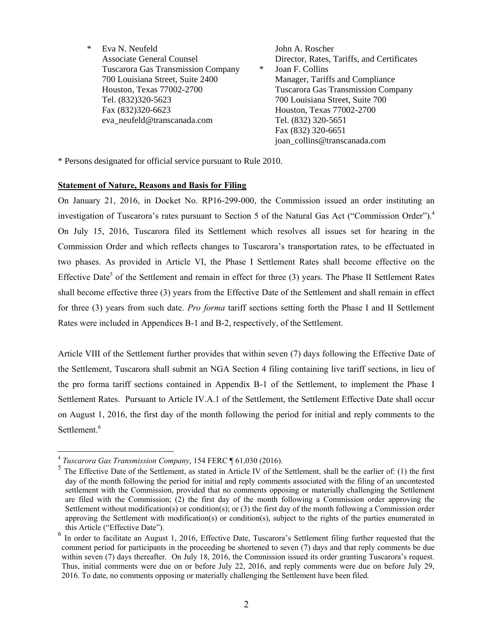\* Eva N. Neufeld John A. Roscher Tuscarora Gas Transmission Company \* Joan F. Collins 700 Louisiana Street, Suite 2400 Manager, Tariffs and Compliance Tel. (832)320-5623 700 Louisiana Street, Suite 700 Fax (832)320-6623 Houston, Texas 77002-2700 eva\_neufeld@transcanada.com Tel. (832) 320-5651

Associate General Counsel **Director, Rates, Tariffs, and Certificates** Houston, Texas 77002-2700 Tuscarora Gas Transmission Company Fax (832) 320-6651 joan\_collins@transcanada.com

\* Persons designated for official service pursuant to Rule 2010.

### **Statement of Nature, Reasons and Basis for Filing**

On January 21, 2016, in Docket No. RP16-299-000, the Commission issued an order instituting an investigation of Tuscarora's rates pursuant to Section 5 of the Natural Gas Act ("Commission Order"). 4 On July 15, 2016, Tuscarora filed its Settlement which resolves all issues set for hearing in the Commission Order and which reflects changes to Tuscarora's transportation rates, to be effectuated in two phases. As provided in Article VI, the Phase I Settlement Rates shall become effective on the Effective Date<sup>5</sup> of the Settlement and remain in effect for three (3) years. The Phase II Settlement Rates shall become effective three (3) years from the Effective Date of the Settlement and shall remain in effect for three (3) years from such date. *Pro forma* tariff sections setting forth the Phase I and II Settlement Rates were included in Appendices B-1 and B-2, respectively, of the Settlement.

Article VIII of the Settlement further provides that within seven (7) days following the Effective Date of the Settlement, Tuscarora shall submit an NGA Section 4 filing containing live tariff sections, in lieu of the pro forma tariff sections contained in Appendix B-1 of the Settlement, to implement the Phase I Settlement Rates. Pursuant to Article IV.A.1 of the Settlement, the Settlement Effective Date shall occur on August 1, 2016, the first day of the month following the period for initial and reply comments to the Settlement.<sup>6</sup>

<sup>&</sup>lt;sup>4</sup><br><sup>4</sup> Tuscarora Gas Transmission Company, 154 FERC ¶ 61,030 (2016).<br><sup>5</sup> The Effective Dete of the Settlement, as stated in Article IV of the

The Effective Date of the Settlement, as stated in Article IV of the Settlement, shall be the earlier of: (1) the first day of the month following the period for initial and reply comments associated with the filing of an uncontested settlement with the Commission, provided that no comments opposing or materially challenging the Settlement are filed with the Commission; (2) the first day of the month following a Commission order approving the Settlement without modification(s) or condition(s); or (3) the first day of the month following a Commission order approving the Settlement with modification(s) or condition(s), subject to the rights of the parties enumerated in this Article ("Effective Date").

<sup>6</sup> In order to facilitate an August 1, 2016, Effective Date, Tuscarora's Settlement filing further requested that the comment period for participants in the proceeding be shortened to seven (7) days and that reply comments be due within seven (7) days thereafter. On July 18, 2016, the Commission issued its order granting Tuscarora's request. Thus, initial comments were due on or before July 22, 2016, and reply comments were due on before July 29, 2016. To date, no comments opposing or materially challenging the Settlement have been filed.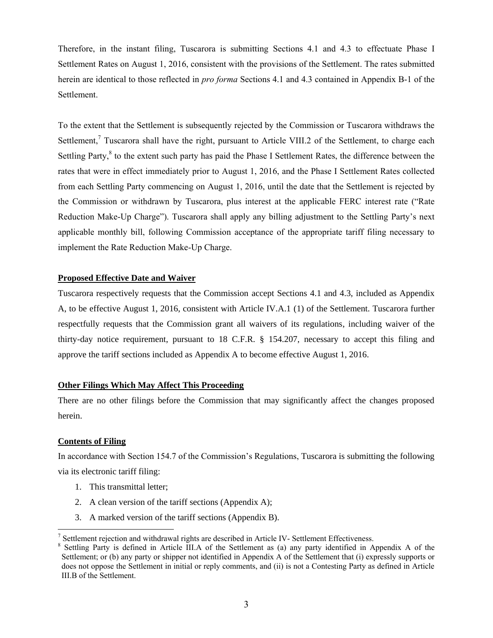Therefore, in the instant filing, Tuscarora is submitting Sections 4.1 and 4.3 to effectuate Phase I Settlement Rates on August 1, 2016, consistent with the provisions of the Settlement. The rates submitted herein are identical to those reflected in *pro forma* Sections 4.1 and 4.3 contained in Appendix B-1 of the Settlement.

To the extent that the Settlement is subsequently rejected by the Commission or Tuscarora withdraws the Settlement,<sup>7</sup> Tuscarora shall have the right, pursuant to Article VIII.2 of the Settlement, to charge each Settling Party,<sup>8</sup> to the extent such party has paid the Phase I Settlement Rates, the difference between the rates that were in effect immediately prior to August 1, 2016, and the Phase I Settlement Rates collected from each Settling Party commencing on August 1, 2016, until the date that the Settlement is rejected by the Commission or withdrawn by Tuscarora, plus interest at the applicable FERC interest rate ("Rate Reduction Make-Up Charge"). Tuscarora shall apply any billing adjustment to the Settling Party's next applicable monthly bill, following Commission acceptance of the appropriate tariff filing necessary to implement the Rate Reduction Make-Up Charge.

### **Proposed Effective Date and Waiver**

Tuscarora respectively requests that the Commission accept Sections 4.1 and 4.3, included as Appendix A, to be effective August 1, 2016, consistent with Article IV.A.1 (1) of the Settlement. Tuscarora further respectfully requests that the Commission grant all waivers of its regulations, including waiver of the thirty-day notice requirement, pursuant to 18 C.F.R. § 154.207, necessary to accept this filing and approve the tariff sections included as Appendix A to become effective August 1, 2016.

### **Other Filings Which May Affect This Proceeding**

There are no other filings before the Commission that may significantly affect the changes proposed herein.

### **Contents of Filing**

 $\overline{a}$ 

In accordance with Section 154.7 of the Commission's Regulations, Tuscarora is submitting the following via its electronic tariff filing:

- 1. This transmittal letter;
- 2. A clean version of the tariff sections (Appendix A);
- 3. A marked version of the tariff sections (Appendix B).

 $7$  Settlement rejection and withdrawal rights are described in Article IV- Settlement Effectiveness.

<sup>&</sup>lt;sup>8</sup> Settling Party is defined in Article III.A of the Settlement as (a) any party identified in Appendix A of the Settlement; or (b) any party or shipper not identified in Appendix A of the Settlement that (i) expressly supports or does not oppose the Settlement in initial or reply comments, and (ii) is not a Contesting Party as defined in Article III.B of the Settlement.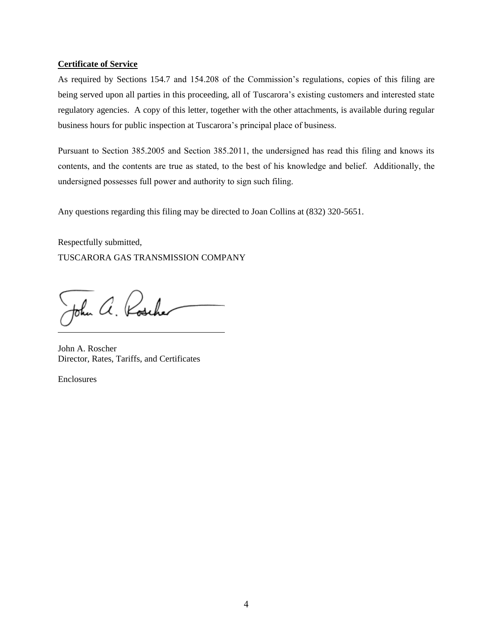### **Certificate of Service**

As required by Sections 154.7 and 154.208 of the Commission's regulations, copies of this filing are being served upon all parties in this proceeding, all of Tuscarora's existing customers and interested state regulatory agencies. A copy of this letter, together with the other attachments, is available during regular business hours for public inspection at Tuscarora's principal place of business.

Pursuant to Section 385.2005 and Section 385.2011, the undersigned has read this filing and knows its contents, and the contents are true as stated, to the best of his knowledge and belief. Additionally, the undersigned possesses full power and authority to sign such filing.

Any questions regarding this filing may be directed to Joan Collins at (832) 320-5651.

Respectfully submitted, TUSCARORA GAS TRANSMISSION COMPANY

John a. Roscher

John A. Roscher Director, Rates, Tariffs, and Certificates

Enclosures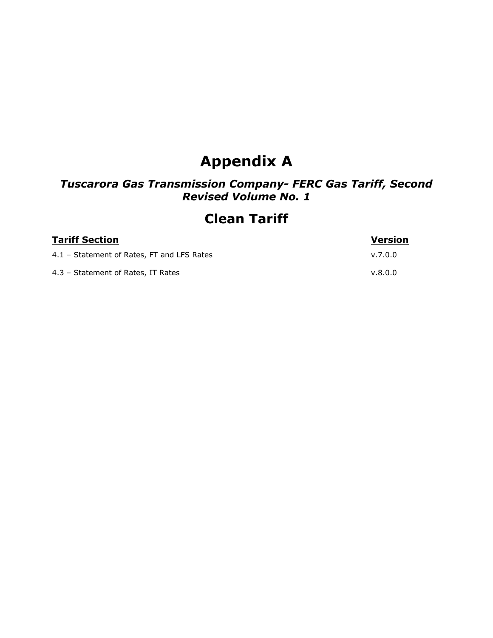# **Appendix A**

# *Tuscarora Gas Transmission Company- FERC Gas Tariff, Second Revised Volume No. 1*

# **Clean Tariff**

| <b>Tariff Section</b>                      | <b>Version</b> |
|--------------------------------------------|----------------|
| 4.1 - Statement of Rates, FT and LFS Rates | v.7.0.0        |
| 4.3 - Statement of Rates, IT Rates         | v.8.0.0        |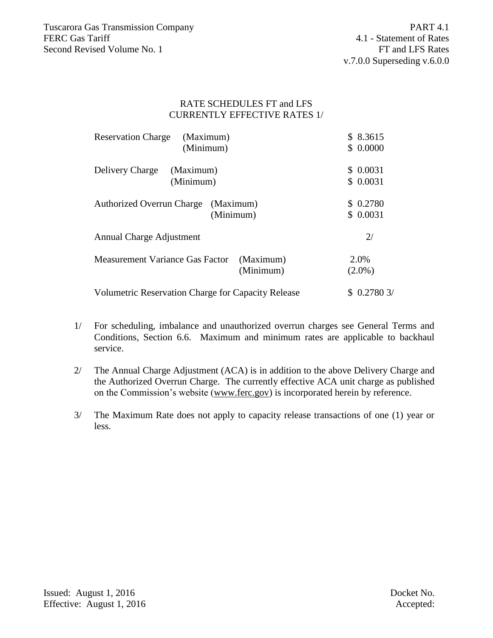### RATE SCHEDULES FT and LFS CURRENTLY EFFECTIVE RATES 1/

| <b>Reservation Charge</b><br>(Maximum)             |           | \$8.3615   |
|----------------------------------------------------|-----------|------------|
| (Minimum)                                          |           | \$0.0000   |
| Delivery Charge<br>(Maximum)                       |           | \$0.0031   |
| (Minimum)                                          |           | \$0.0031   |
| <b>Authorized Overrun Charge</b><br>(Maximum)      |           | \$0.2780   |
| (Minimum)                                          |           | \$0.0031   |
| Annual Charge Adjustment                           |           | 2/         |
| Measurement Variance Gas Factor                    | (Maximum) | 2.0%       |
|                                                    | (Minimum) | $(2.0\%)$  |
| Volumetric Reservation Charge for Capacity Release |           | \$0.27803/ |

- 1/ For scheduling, imbalance and unauthorized overrun charges see General Terms and Conditions, Section 6.6. Maximum and minimum rates are applicable to backhaul service.
- 2/ The Annual Charge Adjustment (ACA) is in addition to the above Delivery Charge and the Authorized Overrun Charge. The currently effective ACA unit charge as published on the Commission's website (www.ferc.gov) is incorporated herein by reference.
- 3/ The Maximum Rate does not apply to capacity release transactions of one (1) year or less.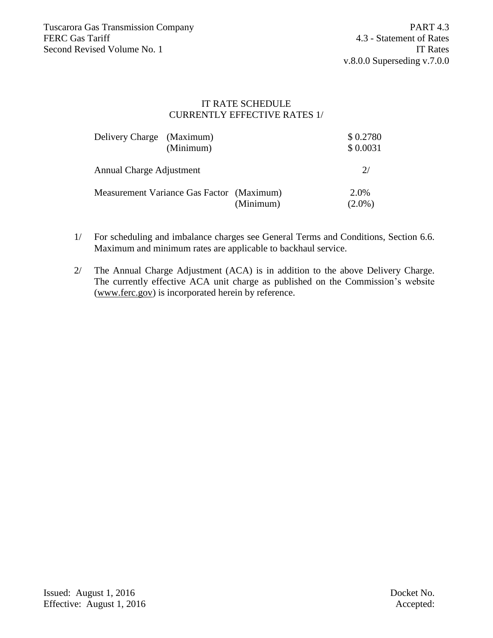# IT RATE SCHEDULE CURRENTLY EFFECTIVE RATES 1/

| Delivery Charge (Maximum)                 | (Minimum) |           | \$0.2780<br>\$0.0031 |
|-------------------------------------------|-----------|-----------|----------------------|
| Annual Charge Adjustment                  |           |           | 2/                   |
| Measurement Variance Gas Factor (Maximum) |           | (Minimum) | 2.0%<br>$(2.0\%)$    |

- 1/ For scheduling and imbalance charges see General Terms and Conditions, Section 6.6. Maximum and minimum rates are applicable to backhaul service.
- 2/ The Annual Charge Adjustment (ACA) is in addition to the above Delivery Charge. The currently effective ACA unit charge as published on the Commission's website (www.ferc.gov) is incorporated herein by reference.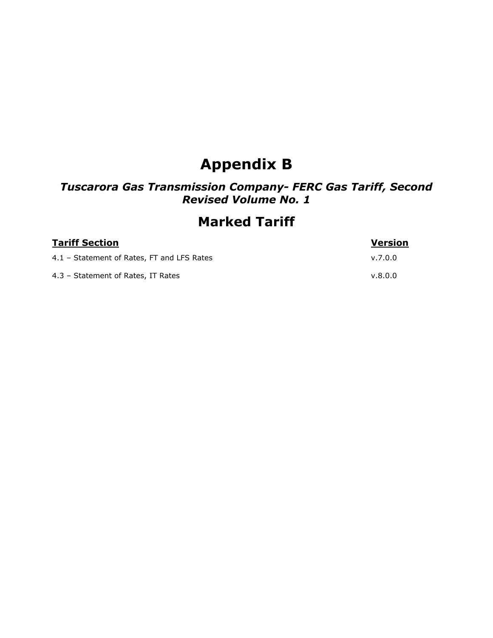# **Appendix B**

# *Tuscarora Gas Transmission Company- FERC Gas Tariff, Second Revised Volume No. 1*

# **Marked Tariff**

| <b>Tariff Section</b>                      | <b>Version</b> |
|--------------------------------------------|----------------|
| 4.1 - Statement of Rates, FT and LFS Rates | v.7.0.0        |
| 4.3 - Statement of Rates, IT Rates         | v.8.0.0        |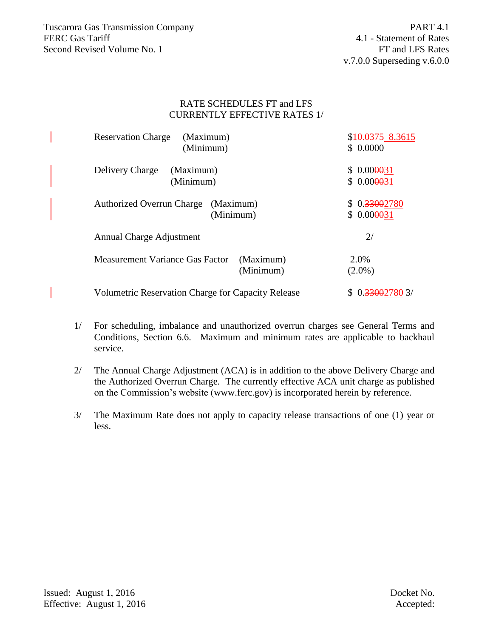## RATE SCHEDULES FT and LFS CURRENTLY EFFECTIVE RATES 1/

| <b>Reservation Charge</b><br>(Maximum)              | \$ <del>10.0375</del> 8.3615 |
|-----------------------------------------------------|------------------------------|
| (Minimum)                                           | \$0.0000                     |
|                                                     |                              |
| Delivery Charge<br>(Maximum)                        | \$0.000031                   |
| (Minimum)                                           | \$0.000031                   |
|                                                     |                              |
| <b>Authorized Overrun Charge</b><br>(Maximum)       | \$0.33002780                 |
| (Minimum)                                           | \$0.000031                   |
|                                                     |                              |
| Annual Charge Adjustment                            | 2/                           |
|                                                     |                              |
| <b>Measurement Variance Gas Factor</b><br>(Maximum) | 2.0%                         |
| (Minimum)                                           | $(2.0\%)$                    |
|                                                     |                              |
| Volumetric Reservation Charge for Capacity Release  | 0. <del>3300</del> 27803/    |

- 1/ For scheduling, imbalance and unauthorized overrun charges see General Terms and Conditions, Section 6.6. Maximum and minimum rates are applicable to backhaul service.
- 2/ The Annual Charge Adjustment (ACA) is in addition to the above Delivery Charge and the Authorized Overrun Charge. The currently effective ACA unit charge as published on the Commission's website (www.ferc.gov) is incorporated herein by reference.
- 3/ The Maximum Rate does not apply to capacity release transactions of one (1) year or less.